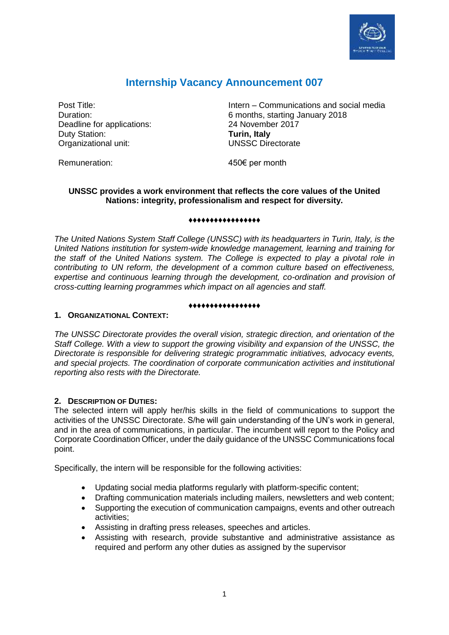

# **Internship Vacancy Announcement 007**

Deadline for applications: 24 November 2017 Duty Station: **Turin, Italy** Organizational unit:

Post Title: Intern – Communications and social media Duration: 6 months, starting January 2018 UNSSC Directorate

Remuneration:

450€ per month

# **UNSSC provides a work environment that reflects the core values of the United Nations: integrity, professionalism and respect for diversity.**

#### **♦♦♦♦♦♦♦♦♦♦♦♦♦♦♦♦♦**

*The United Nations System Staff College (UNSSC) with its headquarters in Turin, Italy, is the United Nations institution for system-wide knowledge management, learning and training for the staff of the United Nations system. The College is expected to play a pivotal role in contributing to UN reform, the development of a common culture based on effectiveness, expertise and continuous learning through the development, co-ordination and provision of cross-cutting learning programmes which impact on all agencies and staff.* 

#### **♦♦♦♦♦♦♦♦♦♦♦♦♦♦♦♦♦**

## **1. ORGANIZATIONAL CONTEXT:**

*The UNSSC Directorate provides the overall vision, strategic direction, and orientation of the Staff College. With a view to support the growing visibility and expansion of the UNSSC, the Directorate is responsible for delivering strategic programmatic initiatives, advocacy events, and special projects. The coordination of corporate communication activities and institutional reporting also rests with the Directorate.*

# **2. DESCRIPTION OF DUTIES:**

The selected intern will apply her/his skills in the field of communications to support the activities of the UNSSC Directorate. S/he will gain understanding of the UN's work in general, and in the area of communications, in particular. The incumbent will report to the Policy and Corporate Coordination Officer, under the daily guidance of the UNSSC Communications focal point.

Specifically, the intern will be responsible for the following activities:

- Updating social media platforms regularly with platform-specific content;
- Drafting communication materials including mailers, newsletters and web content;
- Supporting the execution of communication campaigns, events and other outreach activities;
- Assisting in drafting press releases, speeches and articles.
- Assisting with research, provide substantive and administrative assistance as required and perform any other duties as assigned by the supervisor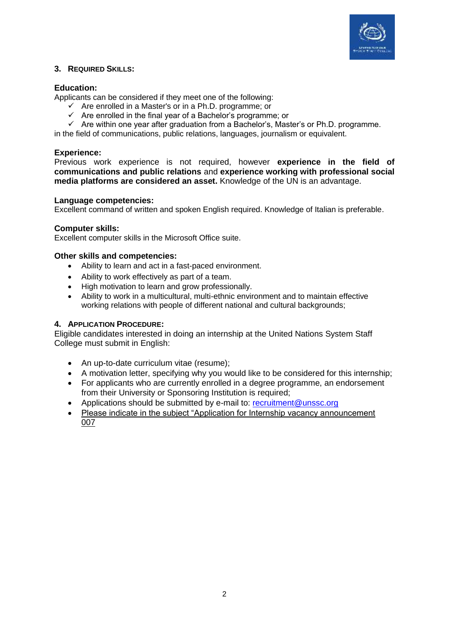

## **3. REQUIRED SKILLS:**

## **Education:**

Applicants can be considered if they meet one of the following:

- $\checkmark$  Are enrolled in a Master's or in a Ph.D. programme: or
- $\checkmark$  Are enrolled in the final year of a Bachelor's programme; or
- $\checkmark$  Are within one vear after graduation from a Bachelor's, Master's or Ph.D. programme.

in the field of communications, public relations, languages, journalism or equivalent.

## **Experience:**

Previous work experience is not required, however **experience in the field of communications and public relations** and **experience working with professional social media platforms are considered an asset.** Knowledge of the UN is an advantage.

#### **Language competencies:**

Excellent command of written and spoken English required. Knowledge of Italian is preferable.

## **Computer skills:**

Excellent computer skills in the Microsoft Office suite.

## **Other skills and competencies:**

- Ability to learn and act in a fast-paced environment.
- Ability to work effectively as part of a team.
- High motivation to learn and grow professionally.
- Ability to work in a multicultural, multi-ethnic environment and to maintain effective working relations with people of different national and cultural backgrounds;

# **4. APPLICATION PROCEDURE:**

Eligible candidates interested in doing an internship at the United Nations System Staff College must submit in English:

- An up-to-date curriculum vitae (resume);
- A motivation letter, specifying why you would like to be considered for this internship;
- For applicants who are currently enrolled in a degree programme, an endorsement from their University or Sponsoring Institution is required;
- Applications should be submitted by e-mail to: [recruitment@unssc.org](mailto:recruitment@unssc.org)
- Please indicate in the subject "Application for Internship vacancy announcement 007